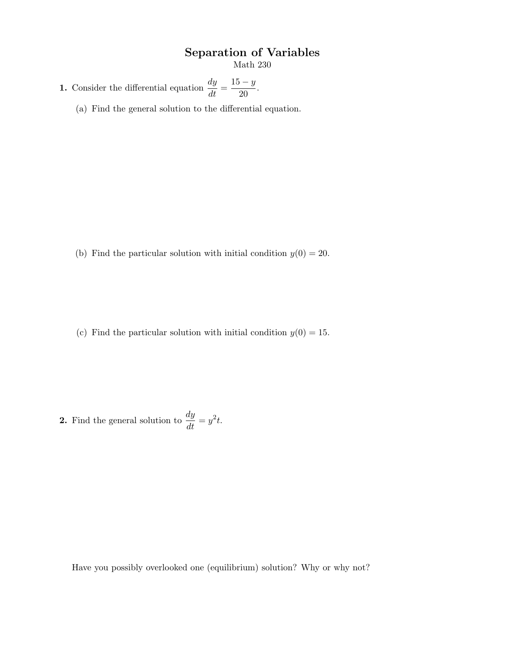## Separation of Variables

Math 230

**1.** Consider the differential equation  $\frac{dy}{dt} = \frac{15 - y}{20}$  $\frac{9}{20}$ .

(a) Find the general solution to the differential equation.

(b) Find the particular solution with initial condition  $y(0) = 20$ .

(c) Find the particular solution with initial condition  $y(0) = 15$ .

**2.** Find the general solution to  $\frac{dy}{dt} = y^2 t$ .

Have you possibly overlooked one (equilibrium) solution? Why or why not?